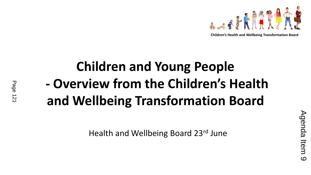

## **Children and Young People - Overview from the Children's Health and Wellbeing Transformation Board**

Health and Wellbeing Board 23rd June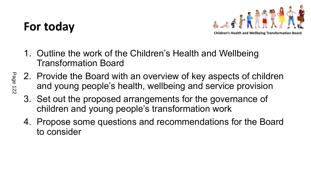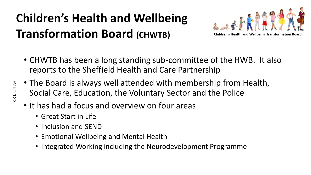

 $\left| \mathbf{0} \right|$ 

 $\#$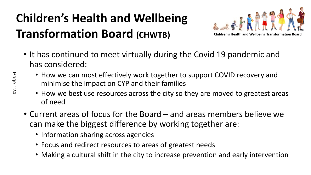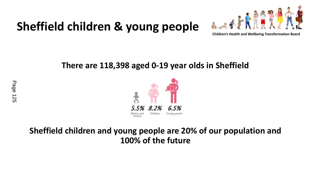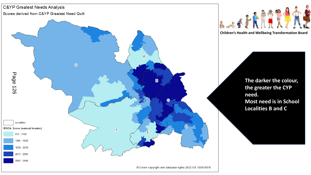$\boldsymbol{\varphi}$  $\mathbf{I}$ 

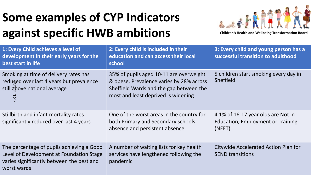## $\frac{1}{2}$  $\boldsymbol{\theta}$  $3$  $\overline{4}$  $\%$  %

| 156                          |         | $\frac{0}{6}$<br>$\pm$                              | $\frac{1}{2}$ %<br>$-56$<br>$\frac{1}{2}$<br>$\frac{0}{6}$ | $\frac{0}{0}$<br>$\frac{0}{6}$<br>% %                 | $*56$ $1\%$<br>% %                                           |
|------------------------------|---------|-----------------------------------------------------|------------------------------------------------------------|-------------------------------------------------------|--------------------------------------------------------------|
|                              |         | $\mathbf{I}$ .<br>$\#$<br>$5$ #                     | 67<br>$\mathbf{g}$<br>$\sim 1$                             | .8<br><b>ANY</b><br>#<br>$\mathbf{I}$<br>$\mathbf{H}$ | $'$ 6 "<br>$\blacksquare$<br>: 7                             |
|                              | $\#$    | $\mathbf{I}$                                        | $\mathbf{u}$<br># 1<br>$5$ #<br>$\#$<br>Ay                 | #                                                     | $5 \t . 74 \t .; . < 41$<br>$\%$ \$ %<br>$\#$<br>$=$ * % % > |
| $\mathbf{u}$<br>$\mathbf{H}$ | $+$ $+$ | $\mathbf{L}$<br>$\overline{4}$<br>$\mathbf{H}$<br># | $\mathbf{H}$<br>$\mathbf{I}$                               | $\mathbf{H}^{\pm}$                                    | - $\#$ $\#$ "<br>$\frac{9}{6}$ * +                           |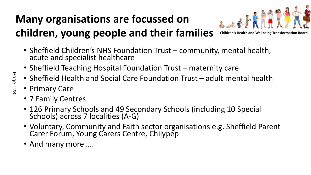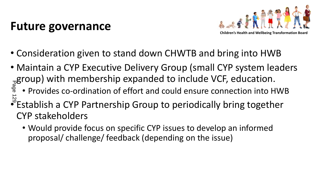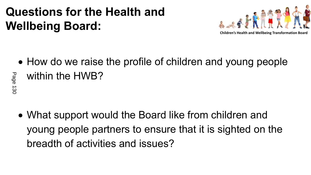

 $\boldsymbol{\mathsf{H}}$ 

 $#$ 

 $#$ 

 $\mathbf{I}$ 

 $\star$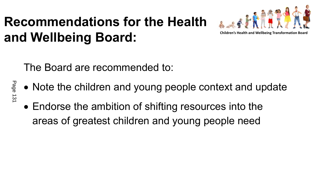